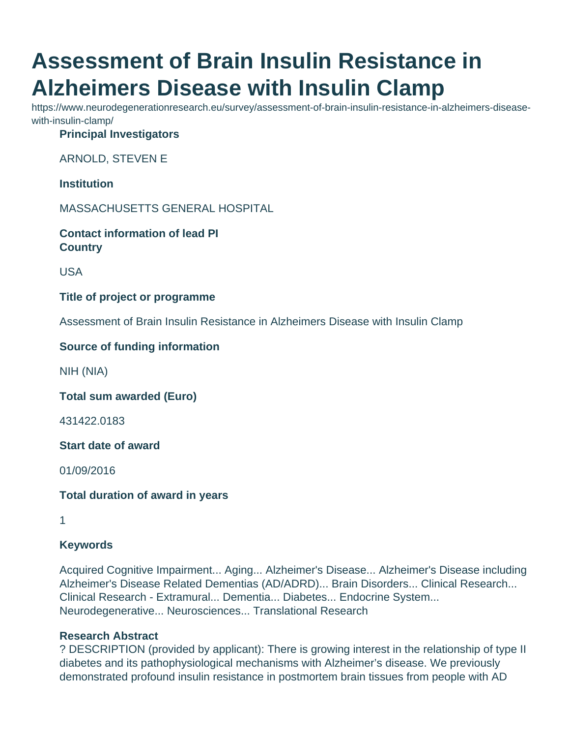# **Assessment of Brain Insulin Resistance in Alzheimers Disease with Insulin Clamp**

https://www.neurodegenerationresearch.eu/survey/assessment-of-brain-insulin-resistance-in-alzheimers-diseasewith-insulin-clamp/

**Principal Investigators**

ARNOLD, STEVEN E

**Institution**

MASSACHUSETTS GENERAL HOSPITAL

**Contact information of lead PI Country**

USA

**Title of project or programme**

Assessment of Brain Insulin Resistance in Alzheimers Disease with Insulin Clamp

#### **Source of funding information**

NIH (NIA)

**Total sum awarded (Euro)**

431422.0183

**Start date of award**

01/09/2016

**Total duration of award in years**

1

## **Keywords**

Acquired Cognitive Impairment... Aging... Alzheimer's Disease... Alzheimer's Disease including Alzheimer's Disease Related Dementias (AD/ADRD)... Brain Disorders... Clinical Research... Clinical Research - Extramural... Dementia... Diabetes... Endocrine System... Neurodegenerative... Neurosciences... Translational Research

#### **Research Abstract**

? DESCRIPTION (provided by applicant): There is growing interest in the relationship of type II diabetes and its pathophysiological mechanisms with Alzheimer's disease. We previously demonstrated profound insulin resistance in postmortem brain tissues from people with AD